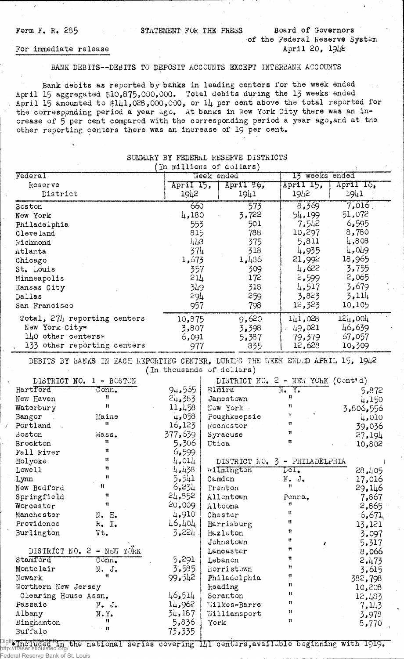Form F. R. 285 STATEMENT FOR THE PRESS Board of Governors

. of the Federal Reserve System April 20, 1942

## For immediate release

## BANK DEBITS--DEBITS TO DEPOSIT ACCOUNTS EXCEPT INTERBANK ACCOUNTS

Bank debits as reported by banks in leading centers for the week ended April 15 aggregated \$10,875,000,000. Total debits during the 13 weeks ended April 15 amounted to  $$141,028,000,000$ , or  $14$  per cent above the total reported for the corresponding period a year ago. At banks in New York City there was an increase of 5 per cent compared with the corresponding period a year ago,and at the other reporting centers there was an increase of 19 per cent.

| (In millions of dollars)         |                      |           |                |           |  |
|----------------------------------|----------------------|-----------|----------------|-----------|--|
| Federal                          | Jeek ended           |           | 13 weeks ended |           |  |
| Reserve                          | April 15,            | April 26, | April 15,      | April 16, |  |
| District                         | 1942                 | 1941      | 1942           | 1941      |  |
| Boston                           | 660                  | 573       | 8,369          | 7,016     |  |
| New York                         | 4,180                | 3,722     | 54,199         | 51,072    |  |
| Philadelphia                     | 553                  | 501       | 7,542          | 6,595     |  |
| Cleveland                        | 815                  | 788       | 10,297         | 8,780     |  |
| kichmond                         | $\mu$ <sub>1</sub> 8 | 375       | 5,811          | 4,808     |  |
| Atlanta                          | 374                  | 318       | 4,935          | 4,049     |  |
| Chicago                          | 1,673                | 1,486     | 21,992         | 18,965    |  |
| St. Louis                        | 357                  | 309       | 4,622          | 3,755     |  |
| Minneapolis                      | 51 <sup>7</sup>      | 172       | 2,599          | 2,065     |  |
| Kansas City                      | 349                  | 318       | 4,517          | 3,679     |  |
| Dallas                           | 294                  | 259       | 3,823          | 3,114     |  |
| San Francisco                    | 957                  | 798       | 12,323         | 10,105    |  |
| Total, $27\mu$ reporting centers | 10,875               | 9,620     | 141,028        | 124,004   |  |
| New York City*                   | 3,807                | 3,398     | 49,021         | 46,639    |  |
| $1\text{10}$ other centers*      | 6,091                | 5,387     | 79,379         | 67,057    |  |
| 133 other reporting centers      | 977                  | 835       | 12,628         | 10,309    |  |

## SUMMaRY BY FEDERAL RESERVE DISTRICTS

DEBITS 3Y BANKS IN EACH REPORTING CENTER, DURING THE WEEK ENDED APRIL 15, 1942 (In thousands of dollars)

| DISTRICT NO. 1 - BOSTON        |                           | DISTRICT NO. 2 - NEW YORK (Contrd) |                               |                            |            |           |
|--------------------------------|---------------------------|------------------------------------|-------------------------------|----------------------------|------------|-----------|
| Hartford                       | $\texttt{Conn.}$          | 94,565                             | Elmira                        | $\overline{\text{N}}$ . Y. |            | 5,872     |
| New Haven                      | 11                        | 24,383                             | Jamestown                     | n                          |            | 4,150     |
| Waterbury                      | $\mathbf{u}$              | 11,458                             | New York                      | Ħ                          |            | 3,806,556 |
| Bangor                         | Maine                     | 4,058                              | Poughkeepsie                  | 11                         |            | 4,010     |
| Portland                       | $\mathbf{H}$              | 16,123                             | Rochester                     | $^{\bullet}$               |            | 39,036    |
| Boston                         | Mass.                     | 377,639                            | Syracuse                      | 11                         |            | 27,194    |
| Brockton                       | $\mathbf{H}$              | 5,306                              | Utica                         | Ħ                          |            | 10,802    |
| Fall River                     | 11                        | 6,599                              |                               |                            |            |           |
| Holyoke                        | n                         | 4,014                              | DISTRICT NO. 3 - PHILADELPHIA |                            |            |           |
| Lowe11                         | 11                        | 4,438                              | wilmington                    | Del.                       |            | 28,405    |
| Lynn                           | $\mathbf{11}$             | 5,541                              | Camden                        | N. J.                      |            | 17,016    |
| New Bedford                    | 11.                       | 6,234                              | Trenton                       | Ħ                          |            | 29,146    |
| Springfield                    | $\mathbf{H}$              | 24,852                             | Allentown                     | Penna.                     |            | 7,867     |
| Worcester                      | n                         | 20,009                             | Altoona                       | 11                         |            | 2,865     |
| Manchester                     | N. H.                     | 4,910                              | Chester                       | n                          |            | 6,671     |
| Providence                     | k. I.                     | 46,404                             | Harrisburg                    | Ħ                          |            | 13,121    |
| Burlington                     | Vt.                       | 3,224.                             | Hazleton                      | n                          |            | 3,097     |
|                                |                           |                                    | Johnstown                     | Ħ                          | $\sqrt{2}$ | 5,317     |
|                                | DISTRICT NO. 2 - NEW YORK |                                    | Lancaster                     | 11                         |            | 8,066     |
| Stamford                       | Conn <sub>o</sub>         | 5,291                              | Lebanon                       | 11                         |            | 2,473     |
| Montclair                      | $N$ . J.                  | 3,585                              | Horristown                    | 11                         |            | 3,615     |
| Newark                         | Ħ                         | 99,542                             | Philadelphia                  | 11                         |            | 382,798   |
| Northern New Jersey            |                           | keading                            | Ħ                             |                            | 10,208     |           |
| 46,514<br>Clearing House Assn. |                           | Scranton                           | 11                            |                            | 12,483     |           |
| Passaic                        | $N$ . J.                  | 14,962                             | Wilkes-Barre                  | n                          |            | 7.143     |
| Albany                         | $N \cdot Y$ .             | 34,187                             | Williamsport                  | 11                         |            | 3,978     |
| Binghamton                     | 11                        | 5,836                              | York                          | n                          |            | 8,770     |
| Buffalo                        | $\leq$ 11                 | 73,335                             |                               |                            |            |           |

 $\frac{D_{\text{left}}}{D_{\text{right}}}$  and  $\frac{D_{\text{right}}}{D_{\text{right}}}$  in the national series covering  $1/1$  centers, available beginning with 1919. http://fraser.stlouisfed.org/ Federal Reserve Bank of St. Louis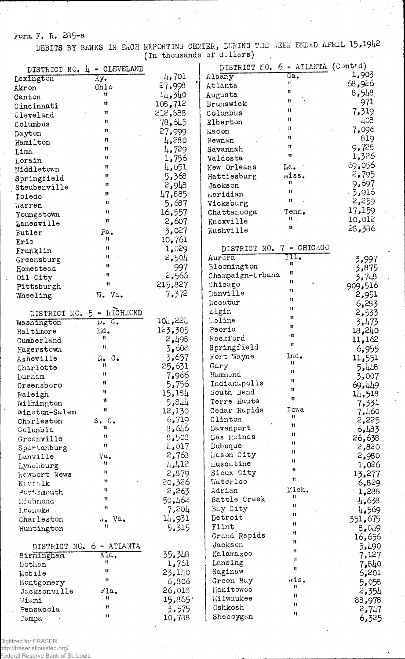Form F. R. 285-a

DEBITS BY BANKS IN EACH REPORTING CENTER, DURING THE BEEK ENDED APRIL 15,1942

|                | - CLEVELAND                                                         |                | DISTRICT NO, 6 - ATLANTA (Cont'd) |                          |          |
|----------------|---------------------------------------------------------------------|----------------|-----------------------------------|--------------------------|----------|
| DISTRICT NO. 4 |                                                                     | 4,701          | Albany                            | $Ga$ .                   | 1,903    |
| Lexington      | Ky.<br>Ohio                                                         | 27,998         | Atlanta                           | 11                       | 68,926   |
| Akron          | Ħ                                                                   | 14,340         | Augusta                           | n                        | 8,548    |
| Canton         | Ħ                                                                   | 108,712        | Brunswick                         | Ħ                        | 971      |
| Cincinnati     | Ħ                                                                   | 212,888        | Columbus                          | Ħ                        | 7,319    |
| Cleveland      | Ħ                                                                   | 78,645         | Elberton                          | n                        | $\mu$ 08 |
| Columbus       | n                                                                   | 27,999         | Macon                             | П                        | 7,096    |
| Dayton         | Ħ                                                                   | 4,280          | Newnan                            | Ħ                        | 819      |
| Hamilton       | u                                                                   | 4,729          | Savannah                          | 11                       | 9,728    |
| Lima           | Ħ                                                                   |                | Valdosta                          | Ħ                        | 1,326    |
| Lorain         | 11                                                                  | 1,756          | New Orleans                       | La.                      | 69,056   |
| Middletown     | Ħ                                                                   | 4,051<br>5,368 | Hattiesburg                       | miss.                    | 2,795    |
| Springfield    | 11                                                                  |                |                                   | 11                       | 9,697    |
| Steubenville   | Ħ                                                                   | 2,948          | Jackson                           | Ħ                        | 3,916    |
| Toledo         | Ħ                                                                   | 47,885         | meridian                          | Ħ                        | 2,259    |
| Warren         |                                                                     | 87,ن5          | Vicksburg                         | Tenn.                    | 17,159   |
| Youngstown     | Ħ                                                                   | 16,557         | Chattanooga                       | Ħ                        | 10,012   |
| Zanesville     | n                                                                   | 2,607          | Knoxville                         | Ħ                        | 28,386   |
| Butler         | Pa.                                                                 | 3,027          | Nashville                         |                          |          |
| Erie           | n                                                                   | 10,761         |                                   |                          |          |
| Franklin       | 11                                                                  | 1,029          | DISTRICT NO.                      | - CHICAGO<br>$7^{\circ}$ |          |
| Greensburg     | $\mathbf{H}$                                                        | 2,504          | Aurora                            | III.<br>Ħ                | 3,997    |
| Homestead      | Ħ                                                                   | 997            | Bloomington                       | n                        | 3,875    |
| Oil City       | Ħ                                                                   | 2,566          | Champaign-Urbana                  | n                        | 3,748    |
| Pittsburgh     | $\ddot{\mathbf{t}}$                                                 | 215,827        | Chicago                           | Ħ                        | 909,516  |
| Wheeling       | $\overline{v}$ . Va.                                                | 7,372          | Danville                          | Ħ                        | 2,951    |
|                |                                                                     |                | Decatur                           | Ħ                        | 6,283    |
| DISTRICT NO. 5 | - RICHMOND                                                          |                | Llgin                             | n                        | 2,533    |
| Washington     | $\overline{\mathbb{D} \bullet^+}$ $\overline{\mathbb{C} \bullet^+}$ | 104,224        | Moline                            | Ħ                        | 3,473    |
| Baltimore      | Lid.                                                                | 123,305        | Peoria                            | $\mathbf{H}$             | 18,240   |
| Cumberland     | Ħ                                                                   | 2,493          | Rockford                          |                          | 11,162   |
| Hagerstown     | Ħ                                                                   | 3,602          | Springfield                       | Ħ                        | 6,955    |
| Asheville      | N.<br>$\mathbb{C}$ .                                                | 3,657          | Fort Wayne                        | Ind.                     | 11,551   |
| Charlotte      | Ħ                                                                   | 25,631         | Gary                              | n                        | 44ء5     |
| <b>Lurham</b>  | $\mathbf{H}$                                                        | 7,966          | Hammond                           | Ħ                        | 3,007    |
| Greensboro     | 11                                                                  | 5,756          | Indianapolis                      | Ħ                        | 69,449   |
| Raleigh        | Ч                                                                   | 15,184         | South Bend                        | 11                       | 14,518   |
| Wilmington     | ij                                                                  | 448ء5          | Terre Haute                       | Ħ                        | 7,331    |
| Winston-Salem  | Ħ                                                                   | 12,130         | Cedar Rapids                      | Iowa                     | 7,460    |
| Charleston     | $S1$ $C2$                                                           | 6,719          | Clinton                           | 11                       | 2,225    |
| Columbia       | $\mathbf{H}$                                                        | 8,646          | Lavenport                         | 11                       | 6,483    |
| Greenville     | $^{\dagger}$                                                        | 8,508          | Des Moines                        | 11                       | 26,638   |
| Spartanburg    | Ħ                                                                   | 4.017          | Dubuque                           | Ħ                        | 2,820    |
| Danville       | Va.                                                                 | 2,763          | Mason City                        | Ħ                        | 2,980    |
| Lynchburg      | n                                                                   | 4,412          | Muscatine                         | $\mathbf{H}$             | 1,026    |
| Newport News   | Ħ                                                                   | 2,879          | Sioux City                        | 11                       | 13,277   |
| Nerfolk        | Ħ                                                                   | 20,326         | Waterloo                          | 11                       | 6,829    |
| Portsmouth     | n                                                                   | 2,263          | Adrian                            | Mich.                    | 1,288    |
| Eichmond       | Ħ                                                                   | 50,462         | Battle Creek                      | 11                       | 4,638    |
| Icanoke        | Ħ                                                                   | 7,204          | Bay City                          | Ħ                        | 4,569    |
| Charleston     | Va.<br>ÿ.                                                           | 14,931         | Detroit                           | $\mathbf{H}$             | 351,675  |
| Huntington     | Ħ                                                                   | 5,315          | Flint                             | n                        | 8,049    |
|                |                                                                     |                | Grand Rapids                      | Ħ                        | 16,656   |
|                | DISTRICT NO. 6 - ATIANTA                                            |                | Jackson                           | Ħ                        | 5.490    |
| Birmingham     | Ala.                                                                | 35,348         | Kalamazoo                         | $\mathbf{u}$             | 7,127    |
| Dothan         | n                                                                   | 1,761          | Lansing                           | Ħ.                       | 7,840    |
| Mobile         | Ħ                                                                   | 23,140         | Saginaw                           | Ħ.                       | 6,201    |
| Montgomery     | Ħ                                                                   | 6,806          | Green Bay                         | mis.                     | 5,058    |
| Jacksonville   | Fla,                                                                | 26,018         | Manitowoc                         | Ħ                        | 2,354    |
| Miami          | Ħ                                                                   | 15,865'        | Milwaukee                         | Ħ                        | 88,978   |
| Pensacola      | 11                                                                  | 3,575          | Oshkosh                           | Ħ                        | 2,747    |
| Tampa          | Ħ                                                                   | 10,788         | Sheboygan                         | Ħ                        | 6,325    |
|                |                                                                     |                |                                   |                          |          |

Digitized for FRASER<br>http://fraser.stlouisfed.org/<br>Federal Reserve Bank of St. Louis